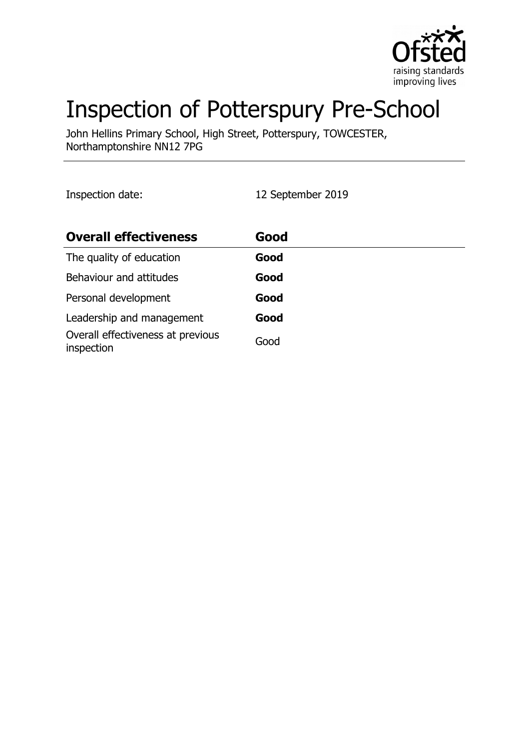

# Inspection of Potterspury Pre-School

John Hellins Primary School, High Street, Potterspury, TOWCESTER, Northamptonshire NN12 7PG

Inspection date: 12 September 2019

| <b>Overall effectiveness</b>                    | Good |
|-------------------------------------------------|------|
| The quality of education                        | Good |
| Behaviour and attitudes                         | Good |
| Personal development                            | Good |
| Leadership and management                       | Good |
| Overall effectiveness at previous<br>inspection | Good |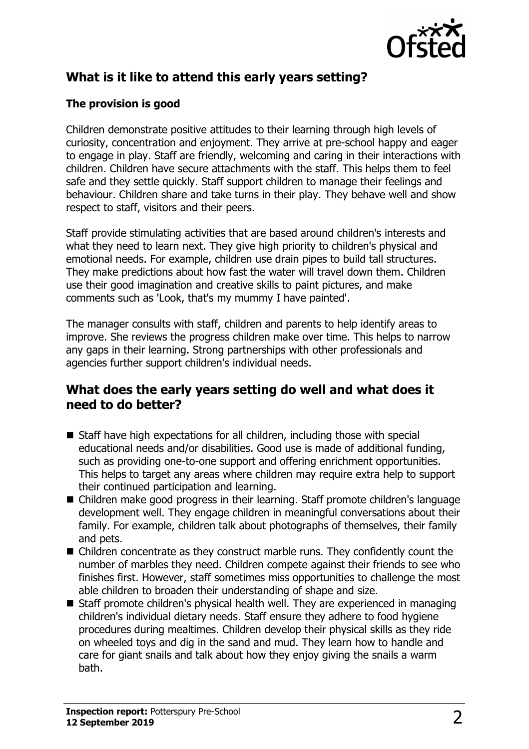

# **What is it like to attend this early years setting?**

## **The provision is good**

Children demonstrate positive attitudes to their learning through high levels of curiosity, concentration and enjoyment. They arrive at pre-school happy and eager to engage in play. Staff are friendly, welcoming and caring in their interactions with children. Children have secure attachments with the staff. This helps them to feel safe and they settle quickly. Staff support children to manage their feelings and behaviour. Children share and take turns in their play. They behave well and show respect to staff, visitors and their peers.

Staff provide stimulating activities that are based around children's interests and what they need to learn next. They give high priority to children's physical and emotional needs. For example, children use drain pipes to build tall structures. They make predictions about how fast the water will travel down them. Children use their good imagination and creative skills to paint pictures, and make comments such as 'Look, that's my mummy I have painted'.

The manager consults with staff, children and parents to help identify areas to improve. She reviews the progress children make over time. This helps to narrow any gaps in their learning. Strong partnerships with other professionals and agencies further support children's individual needs.

## **What does the early years setting do well and what does it need to do better?**

- Staff have high expectations for all children, including those with special educational needs and/or disabilities. Good use is made of additional funding, such as providing one-to-one support and offering enrichment opportunities. This helps to target any areas where children may require extra help to support their continued participation and learning.
- Children make good progress in their learning. Staff promote children's language development well. They engage children in meaningful conversations about their family. For example, children talk about photographs of themselves, their family and pets.
- $\blacksquare$  Children concentrate as they construct marble runs. They confidently count the number of marbles they need. Children compete against their friends to see who finishes first. However, staff sometimes miss opportunities to challenge the most able children to broaden their understanding of shape and size.
- $\blacksquare$  Staff promote children's physical health well. They are experienced in managing children's individual dietary needs. Staff ensure they adhere to food hygiene procedures during mealtimes. Children develop their physical skills as they ride on wheeled toys and dig in the sand and mud. They learn how to handle and care for giant snails and talk about how they enjoy giving the snails a warm bath.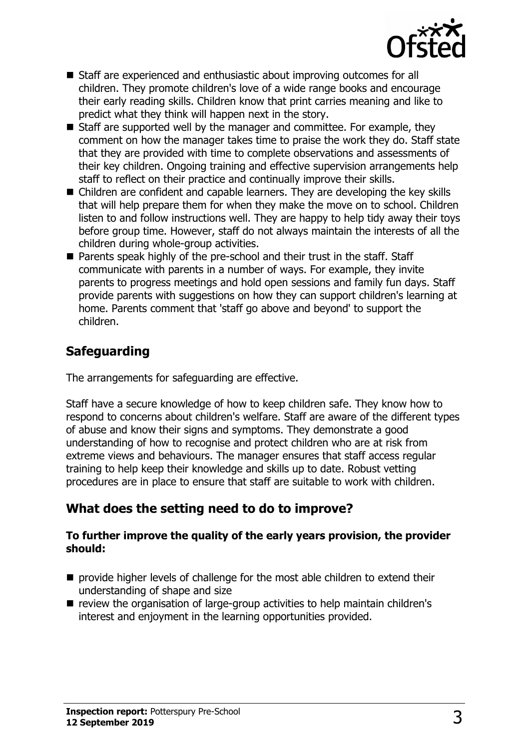

- Staff are experienced and enthusiastic about improving outcomes for all children. They promote children's love of a wide range books and encourage their early reading skills. Children know that print carries meaning and like to predict what they think will happen next in the story.
- $\blacksquare$  Staff are supported well by the manager and committee. For example, they comment on how the manager takes time to praise the work they do. Staff state that they are provided with time to complete observations and assessments of their key children. Ongoing training and effective supervision arrangements help staff to reflect on their practice and continually improve their skills.
- $\blacksquare$  Children are confident and capable learners. They are developing the key skills that will help prepare them for when they make the move on to school. Children listen to and follow instructions well. They are happy to help tidy away their toys before group time. However, staff do not always maintain the interests of all the children during whole-group activities.
- Parents speak highly of the pre-school and their trust in the staff. Staff communicate with parents in a number of ways. For example, they invite parents to progress meetings and hold open sessions and family fun days. Staff provide parents with suggestions on how they can support children's learning at home. Parents comment that 'staff go above and beyond' to support the children.

## **Safeguarding**

The arrangements for safeguarding are effective.

Staff have a secure knowledge of how to keep children safe. They know how to respond to concerns about children's welfare. Staff are aware of the different types of abuse and know their signs and symptoms. They demonstrate a good understanding of how to recognise and protect children who are at risk from extreme views and behaviours. The manager ensures that staff access regular training to help keep their knowledge and skills up to date. Robust vetting procedures are in place to ensure that staff are suitable to work with children.

## **What does the setting need to do to improve?**

#### **To further improve the quality of the early years provision, the provider should:**

- $\blacksquare$  provide higher levels of challenge for the most able children to extend their understanding of shape and size
- $\blacksquare$  review the organisation of large-group activities to help maintain children's interest and enjoyment in the learning opportunities provided.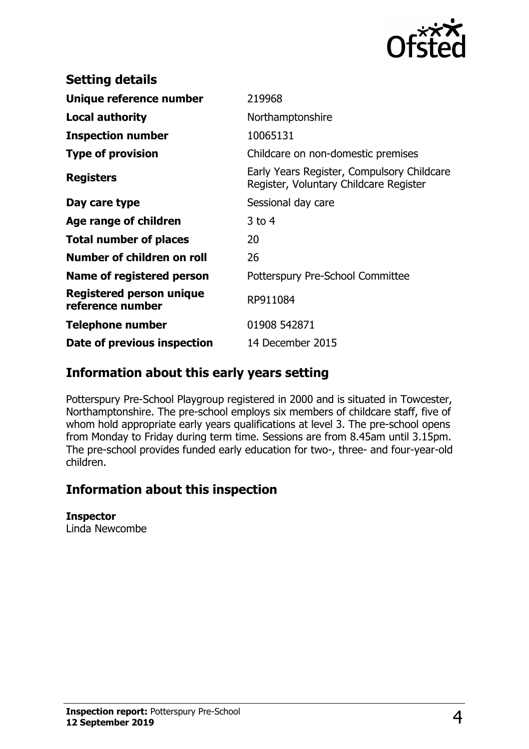

| <b>Setting details</b>                              |                                                                                      |
|-----------------------------------------------------|--------------------------------------------------------------------------------------|
| Unique reference number                             | 219968                                                                               |
| <b>Local authority</b>                              | Northamptonshire                                                                     |
| <b>Inspection number</b>                            | 10065131                                                                             |
| <b>Type of provision</b>                            | Childcare on non-domestic premises                                                   |
| <b>Registers</b>                                    | Early Years Register, Compulsory Childcare<br>Register, Voluntary Childcare Register |
| Day care type                                       | Sessional day care                                                                   |
| Age range of children                               | $3$ to 4                                                                             |
| <b>Total number of places</b>                       | 20                                                                                   |
| Number of children on roll                          | 26                                                                                   |
| Name of registered person                           | Potterspury Pre-School Committee                                                     |
| <b>Registered person unique</b><br>reference number | RP911084                                                                             |
| <b>Telephone number</b>                             | 01908 542871                                                                         |
| Date of previous inspection                         | 14 December 2015                                                                     |

## **Information about this early years setting**

Potterspury Pre-School Playgroup registered in 2000 and is situated in Towcester, Northamptonshire. The pre-school employs six members of childcare staff, five of whom hold appropriate early years qualifications at level 3. The pre-school opens from Monday to Friday during term time. Sessions are from 8.45am until 3.15pm. The pre-school provides funded early education for two-, three- and four-year-old children.

## **Information about this inspection**

#### **Inspector**

Linda Newcombe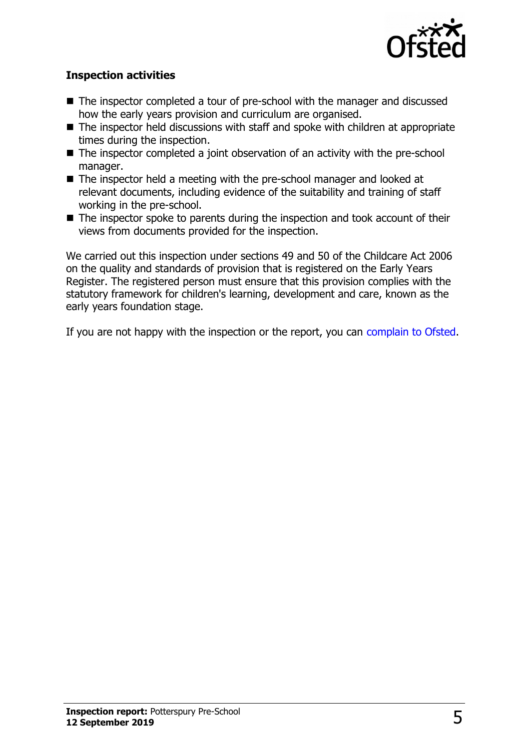

### **Inspection activities**

- The inspector completed a tour of pre-school with the manager and discussed how the early years provision and curriculum are organised.
- $\blacksquare$  The inspector held discussions with staff and spoke with children at appropriate times during the inspection.
- $\blacksquare$  The inspector completed a joint observation of an activity with the pre-school manager.
- $\blacksquare$  The inspector held a meeting with the pre-school manager and looked at relevant documents, including evidence of the suitability and training of staff working in the pre-school.
- $\blacksquare$  The inspector spoke to parents during the inspection and took account of their views from documents provided for the inspection.

We carried out this inspection under sections 49 and 50 of the Childcare Act 2006 on the quality and standards of provision that is registered on the Early Years Register. The registered person must ensure that this provision complies with the statutory framework for children's learning, development and care, known as the early years foundation stage.

If you are not happy with the inspection or the report, you can [complain to Ofsted.](http://www.gov.uk/complain-ofsted-report)